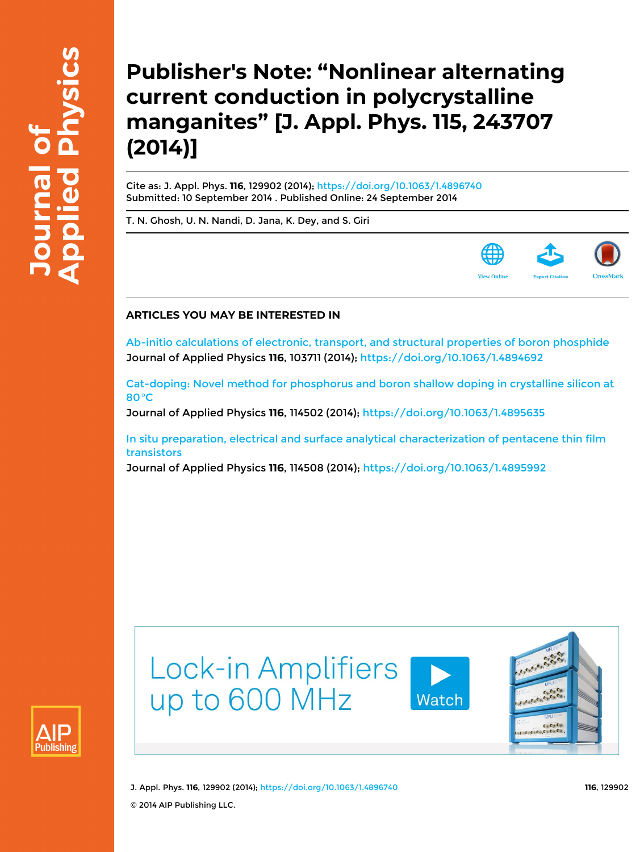## **Publisher's Note: "Nonlinear alternating current conduction in polycrystalline manganites" [J. Appl. Phys. 115, 243707 (2014)]**

Cite as: J. Appl. Phys. **116**, 129902 (2014);<https://doi.org/10.1063/1.4896740> Submitted: 10 September 2014 . Published Online: 24 September 2014

[T. N. Ghosh,](https://aip.scitation.org/author/Ghosh%2C+T+N) [U. N. Nandi](https://aip.scitation.org/author/Nandi%2C+U+N), [D. Jana,](https://aip.scitation.org/author/Jana%2C+D) [K. Dey,](https://aip.scitation.org/author/Dey%2C+K) and [S. Giri](https://aip.scitation.org/author/Giri%2C+S)



## **ARTICLES YOU MAY BE INTERESTED IN**

[Ab-initio calculations of electronic, transport, and structural properties of boron phosphide](https://aip.scitation.org/doi/10.1063/1.4894692) Journal of Applied Physics **116**, 103711 (2014); <https://doi.org/10.1063/1.4894692>

[Cat-doping: Novel method for phosphorus and boron shallow doping in crystalline silicon at](https://aip.scitation.org/doi/10.1063/1.4895635) [80°C](https://aip.scitation.org/doi/10.1063/1.4895635)

Journal of Applied Physics **116**, 114502 (2014); <https://doi.org/10.1063/1.4895635>

[In situ preparation, electrical and surface analytical characterization of pentacene thin film](https://aip.scitation.org/doi/10.1063/1.4895992) [transistors](https://aip.scitation.org/doi/10.1063/1.4895992)

Journal of Applied Physics **116**, 114508 (2014);<https://doi.org/10.1063/1.4895992>





J. Appl. Phys. **116**, 129902 (2014); <https://doi.org/10.1063/1.4896740> **116**, 129902 © 2014 AIP Publishing LLC.